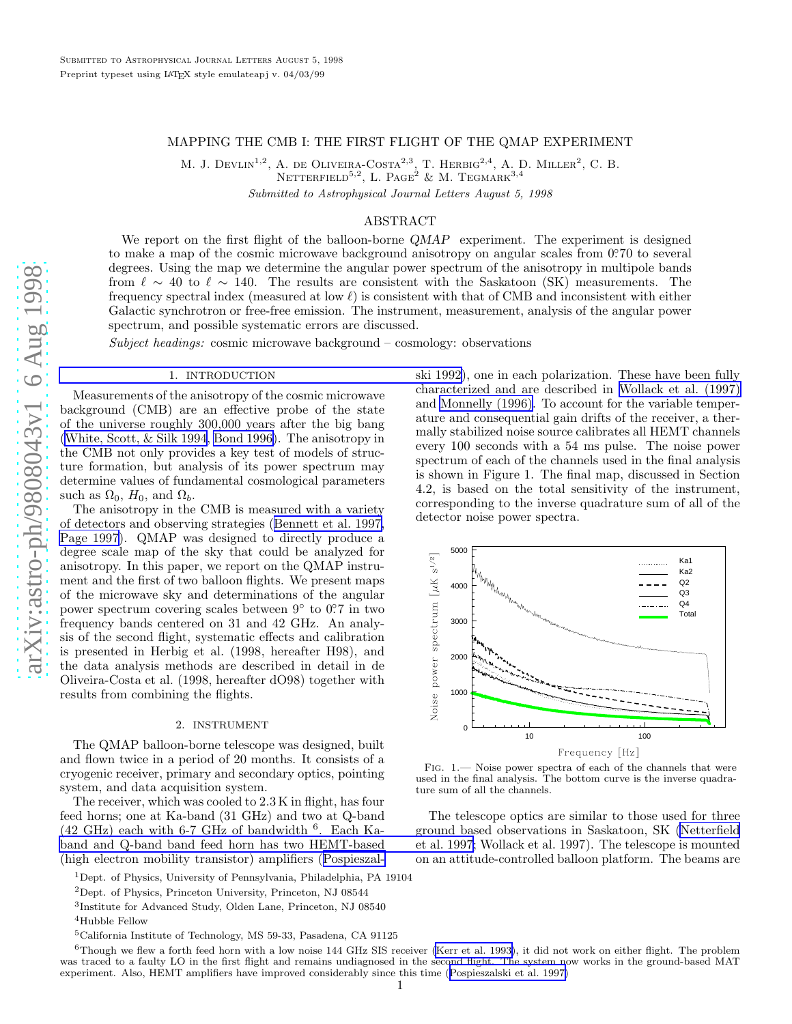# MAPPING THE CMB I: THE FIRST FLIGHT OF THE QMAP EXPERIMENT

M. J. DEVLIN<sup>1,2</sup>, A. DE OLIVEIRA-COSTA<sup>2,3</sup>, T. HERBIG<sup>2,4</sup>, A. D. MILLER<sup>2</sup>, C. B.

NETTERFIELD<sup>5,2</sup>, L. PAGE<sup>2</sup> & M. TEGMARK<sup>3,4</sup>

Submitted to Astrophysical Journal Letters August 5, 1998

# ABSTRACT

We report on the first flight of the balloon-borne QMAP experiment. The experiment is designed to make a map of the cosmic microwave background anisotropy on angular scales from 0.70 to several degrees. Using the map we determine the angular power spectrum of the anisotropy in multipole bands from  $\ell \sim 40$  to  $\ell \sim 140$ . The results are consistent with the Saskatoon (SK) measurements. The frequency spectral index (measured at low  $\ell$ ) is consistent with that of CMB and inconsistent with either Galactic synchrotron or free-free emission. The instrument, measurement, analysis of the angular power spectrum, and possible systematic errors are discussed.

Subject headings: cosmic microwave background – cosmology: observations

#### 1. [INTRODUCTION](#page-3-0)

Measurements of the anisotropy of the cosmic microwave background (CMB) are an effective probe of the state of the universe roughly 300,000 years after the big bang [\(White, Scott, & Silk 1994](#page-3-0), [Bond 1996\)](#page-3-0). The anisotropy in the CMB not only provides a key test of models of structure formation, but analysis of its power spectrum may determine values of fundamental cosmological parameters such as  $\Omega_0$ ,  $H_0$ , and  $\Omega_b$ .

The anisotropy in the CMB is measured with a variety of detectors and observing strategies ([Bennett et al. 1997,](#page-3-0) [Page 1997\)](#page-3-0). QMAP was designed to directly produce a degree scale map of the sky that could be analyzed for anisotropy. In this paper, we report on the QMAP instrument and the first of two balloon flights. We present maps of the microwave sky and determinations of the angular power spectrum covering scales between  $9^{\circ}$  to  $0^{\circ}$ . in two frequency bands centered on 31 and 42 GHz. An analysis of the second flight, systematic effects and calibration is presented in Herbig et al. (1998, hereafter H98), and the data analysis methods are described in detail in de Oliveira-Costa et al. (1998, hereafter dO98) together with results from combining the flights.

#### 2. INSTRUMENT

The QMAP balloon-borne telescope was designed, built and flown twice in a period of 20 months. It consists of a cryogenic receiver, primary and secondary optics, pointin g system, and data acquisition system.

The receiver, which was cooled to 2.3 K in flight, has four feed horns; one at Ka-band (31 GHz) and two at Q-band  $(42 \text{ GHz})$  each with 6-7 GHz of bandwidth <sup>6</sup>. Each Ka[band and Q-band band feed horn has two HEMT-based](#page-3-0) (high electron mobility transistor) amplifiers ([Pospieszal-](#page-3-0)





Fig. 1.— Noise power spectra of each of the channels that were used in the final analysis. The bottom curve is the inverse quadrature sum of all the channels.

The telescope optics are similar to those used for three ground based observations in Saskatoon, SK [\(Netterfield](#page-3-0) et al. 1997; Wollack et al. 1997). The telescope is mounted on an attitude-controlled balloon platform. The beams are

<sup>1</sup>Dept. of Physics, University of Pennsylvania, Philadelphia, PA 19104

<sup>2</sup>Dept. of Physics, Princeton University, Princeton, NJ 08544

<sup>3</sup> Institute for Advanced Study, Olden Lane, Princeton, NJ 08540

<sup>4</sup>Hubble Fellow

<sup>5</sup>California Institute of Technology, MS 59-33, Pasadena, CA 91125

 $6$ Though we flew a forth feed horn with a low noise 144 GHz SIS receiver [\(Kerr et al. 1993\)](#page-3-0), it did not work on either flight. The problem was traced to a faulty LO in the first flight and remains undiagnosed in the second flight. The system now works in the ground-based MAT experiment. Also, HEMT amplifiers have improved considerably since this time ([Pospieszalski et al. 1997\)](#page-3-0)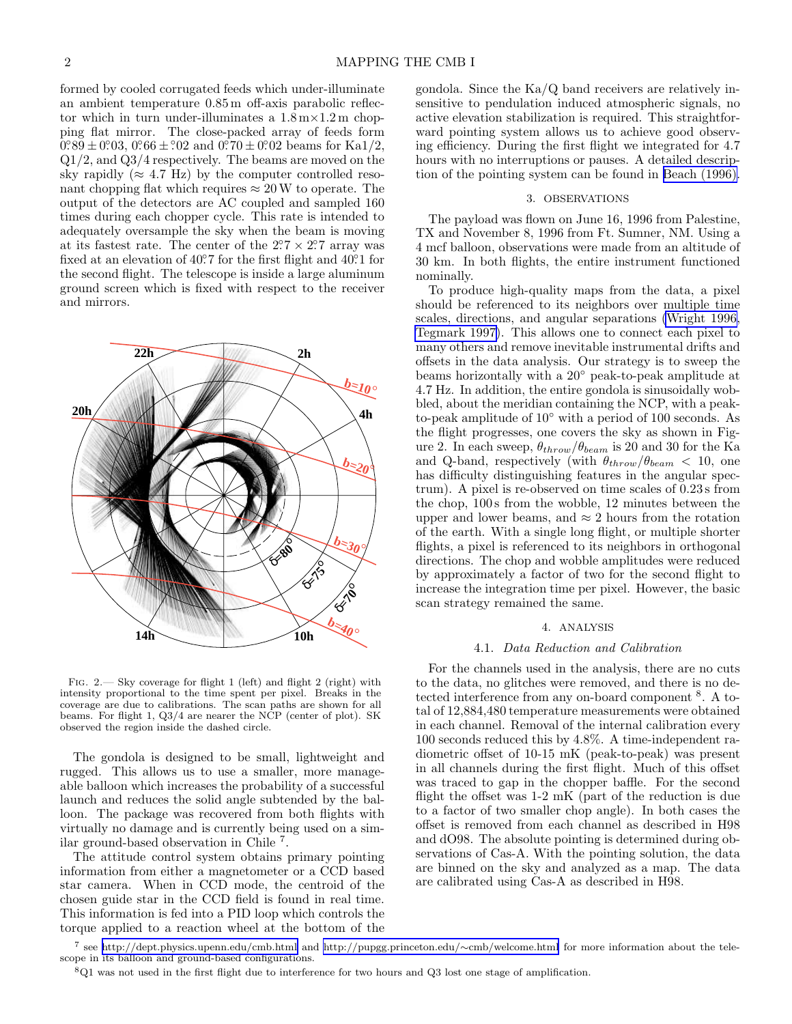formed by cooled corrugated feeds which under-illuminate an ambient temperature 0.85 m off-axis parabolic reflector which in turn under-illuminates a  $1.8 \text{ m} \times 1.2 \text{ m}$  chopping flat mirror. The close-packed array of feeds form  $\overline{0.089} \pm 0.003$ ,  $0.066 \pm 0.02$  and  $\overline{0.070} \pm 0.002$  beams for Ka1/2, Q1/2, and Q3/4 respectively. The beams are moved on the sky rapidly ( $\approx 4.7$  Hz) by the computer controlled resonant chopping flat which requires  $\approx 20$  W to operate. The output of the detectors are AC coupled and sampled 160 times during each chopper cycle. This rate is intended to adequately oversample the sky when the beam is moving at its fastest rate. The center of the  $2.7 \times 2.7$  array was fixed at an elevation of  $40^{\circ}$ 7 for the first flight and  $40^{\circ}$ 1 for the second flight. The telescope is inside a large aluminum ground screen which is fixed with respect to the receiver and mirrors.



Fig. 2.— Sky coverage for flight 1 (left) and flight 2 (right) with intensity proportional to the time spent per pixel. Breaks in the coverage are due to calibrations. The scan paths are shown for all beams. For flight 1, Q3/4 are nearer the NCP (center of plot). SK observed the region inside the dashed circle.

The gondola is designed to be small, lightweight and rugged. This allows us to use a smaller, more manageable balloon which increases the probability of a successful launch and reduces the solid angle subtended by the balloon. The package was recovered from both flights with virtually no damage and is currently being used on a similar ground-based observation in Chile <sup>7</sup> .

The attitude control system obtains primary pointing information from either a magnetometer or a CCD based star camera. When in CCD mode, the centroid of the chosen guide star in the CCD field is found in real time. This information is fed into a PID loop which controls the torque applied to a reaction wheel at the bottom of the

gondola. Since the Ka/Q band receivers are relatively insensitive to pendulation induced atmospheric signals, no active elevation stabilization is required. This straightforward pointing system allows us to achieve good observing efficiency. During the first flight we integrated for 4.7 hours with no interruptions or pauses. A detailed description of the pointing system can be found in [Beach \(1996\).](#page-3-0)

## 3. OBSERVATIONS

The payload was flown on June 16, 1996 from Palestine, TX and November 8, 1996 from Ft. Sumner, NM. Using a 4 mcf balloon, observations were made from an altitude of 30 km. In both flights, the entire instrument functioned nominally.

To produce high-quality maps from the data, a pixel should be referenced to its neighbors over multiple time scales, directions, and angular separations [\(Wright 1996,](#page-3-0) [Tegmark 1997\)](#page-3-0). This allows one to connect each pixel to many others and remove inevitable instrumental drifts and offsets in the data analysis. Our strategy is to sweep the beams horizontally with a 20◦ peak-to-peak amplitude at 4.7 Hz. In addition, the entire gondola is sinusoidally wobbled, about the meridian containing the NCP, with a peakto-peak amplitude of 10◦ with a period of 100 seconds. As the flight progresses, one covers the sky as shown in Figure 2. In each sweep,  $\theta_{throw}/\theta_{beam}$  is 20 and 30 for the Ka and Q-band, respectively (with  $\theta_{throw}/\theta_{beam}$  < 10, one has difficulty distinguishing features in the angular spectrum). A pixel is re-observed on time scales of 0.23 s from the chop, 100 s from the wobble, 12 minutes between the upper and lower beams, and  $\approx 2$  hours from the rotation of the earth. With a single long flight, or multiple shorter flights, a pixel is referenced to its neighbors in orthogonal directions. The chop and wobble amplitudes were reduced by approximately a factor of two for the second flight to increase the integration time per pixel. However, the basic scan strategy remained the same.

#### 4. ANALYSIS

### 4.1. Data Reduction and Calibration

For the channels used in the analysis, there are no cuts to the data, no glitches were removed, and there is no detected interference from any on-board component <sup>8</sup>. A total of 12,884,480 temperature measurements were obtained in each channel. Removal of the internal calibration every 100 seconds reduced this by 4.8%. A time-independent radiometric offset of 10-15 mK (peak-to-peak) was present in all channels during the first flight. Much of this offset was traced to gap in the chopper baffle. For the second flight the offset was 1-2 mK (part of the reduction is due to a factor of two smaller chop angle). In both cases the offset is removed from each channel as described in H98 and dO98. The absolute pointing is determined during observations of Cas-A. With the pointing solution, the data are binned on the sky and analyzed as a map. The data are calibrated using Cas-A as described in H98.

<sup>7</sup> see<http://dept.physics.upenn.edu/cmb.html> and [http://pupgg.princeton.edu/](http://pupgg.princeton.edu/~cmb/welcome.html)∼cmb/welcome.html for more information about the telescope in its balloon and ground-based configurations.

 $8Q1$  was not used in the first flight due to interference for two hours and Q3 lost one stage of amplification.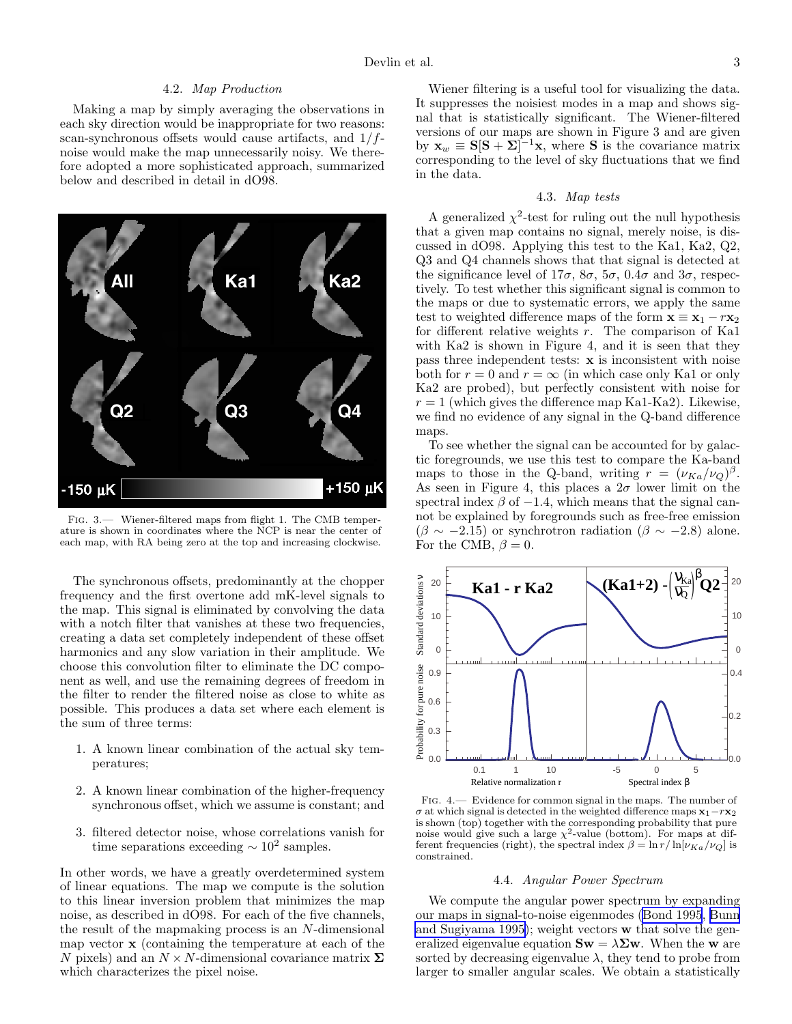### 4.2. Map Production

Making a map by simply averaging the observations in each sky direction would be inappropriate for two reasons: scan-synchronous offsets would cause artifacts, and  $1/f$ noise would make the map unnecessarily noisy. We therefore adopted a more sophisticated approach, summarized below and described in detail in dO98.



FIG. 3.— Wiener-filtered maps from flight 1. The CMB temperature is shown in coordinates where the NCP is near the center of each map, with RA being zero at the top and increasing clockwise.

The synchronous offsets, predominantly at the chopper frequency and the first overtone add mK-level signals to the map. This signal is eliminated by convolving the data with a notch filter that vanishes at these two frequencies, creating a data set completely independent of these offset harmonics and any slow variation in their amplitude. We choose this convolution filter to eliminate the DC component as well, and use the remaining degrees of freedom in the filter to render the filtered noise as close to white as possible. This produces a data set where each element is the sum of three terms:

- 1. A known linear combination of the actual sky temperatures;
- 2. A known linear combination of the higher-frequency synchronous offset, which we assume is constant; and
- 3. filtered detector noise, whose correlations vanish for time separations exceeding  $\sim 10^2$  samples.

In other words, we have a greatly overdetermined system of linear equations. The map we compute is the solution to this linear inversion problem that minimizes the map noise, as described in dO98. For each of the five channels, the result of the mapmaking process is an N-dimensional map vector x (containing the temperature at each of the N pixels) and an  $N \times N$ -dimensional covariance matrix  $\Sigma$ which characterizes the pixel noise.

Wiener filtering is a useful tool for visualizing the data. It suppresses the noisiest modes in a map and shows signal that is statistically significant. The Wiener-filtered versions of our maps are shown in Figure 3 and are given by  $\mathbf{x}_w \equiv \mathbf{S} [\mathbf{S} + \Sigma]^{-1} \mathbf{x}$ , where **S** is the covariance matrix corresponding to the level of sky fluctuations that we find in the data.

### 4.3. Map tests

A generalized  $\chi^2$ -test for ruling out the null hypothesis that a given map contains no signal, merely noise, is discussed in dO98. Applying this test to the Ka1, Ka2, Q2, Q3 and Q4 channels shows that that signal is detected at the significance level of  $17\sigma$ ,  $8\sigma$ ,  $5\sigma$ ,  $0.4\sigma$  and  $3\sigma$ , respectively. To test whether this significant signal is common to the maps or due to systematic errors, we apply the same test to weighted difference maps of the form  $\mathbf{x} \equiv \mathbf{x}_1 - r\mathbf{x}_2$ for different relative weights  $r$ . The comparison of Ka1 with Ka2 is shown in Figure 4, and it is seen that they pass three independent tests: x is inconsistent with noise both for  $r = 0$  and  $r = \infty$  (in which case only Ka1 or only Ka2 are probed), but perfectly consistent with noise for  $r = 1$  (which gives the difference map Ka1-Ka2). Likewise, we find no evidence of any signal in the Q-band difference maps.

To see whether the signal can be accounted for by galactic foregrounds, we use this test to compare the Ka-band maps to those in the Q-band, writing  $r = (\nu_{Ka}/\nu_Q)^{\beta}$ . As seen in Figure 4, this places a  $2\sigma$  lower limit on the spectral index  $\beta$  of  $-1.4$ , which means that the signal cannot be explained by foregrounds such as free-free emission  $(\beta \sim -2.15)$  or synchrotron radiation  $(\beta \sim -2.8)$  alone. For the CMB,  $\beta = 0$ .



Fig. 4.— Evidence for common signal in the maps. The number of  $\sigma$  at which signal is detected in the weighted difference maps  $x_1-rx_2$ is shown (top) together with the corresponding probability that pure noise would give such a large  $\chi^2$ -value (bottom). For maps at different frequencies (right), the spectral index  $\beta = \ln r / \ln[\nu_{Ka}/\nu_Q]$  is constrained.

## 4.4. Angular Power Spectrum

We compute the angular power spectrum by expanding our maps in signal-to-noise eigenmodes ([Bond 1995](#page-3-0), [Bunn](#page-3-0) [and Sugiyama 1995\)](#page-3-0); weight vectors w that solve the generalized eigenvalue equation  $\mathbf{S}\mathbf{w} = \lambda \mathbf{\Sigma}\mathbf{w}$ . When the w are sorted by decreasing eigenvalue  $\lambda$ , they tend to probe from larger to smaller angular scales. We obtain a statistically